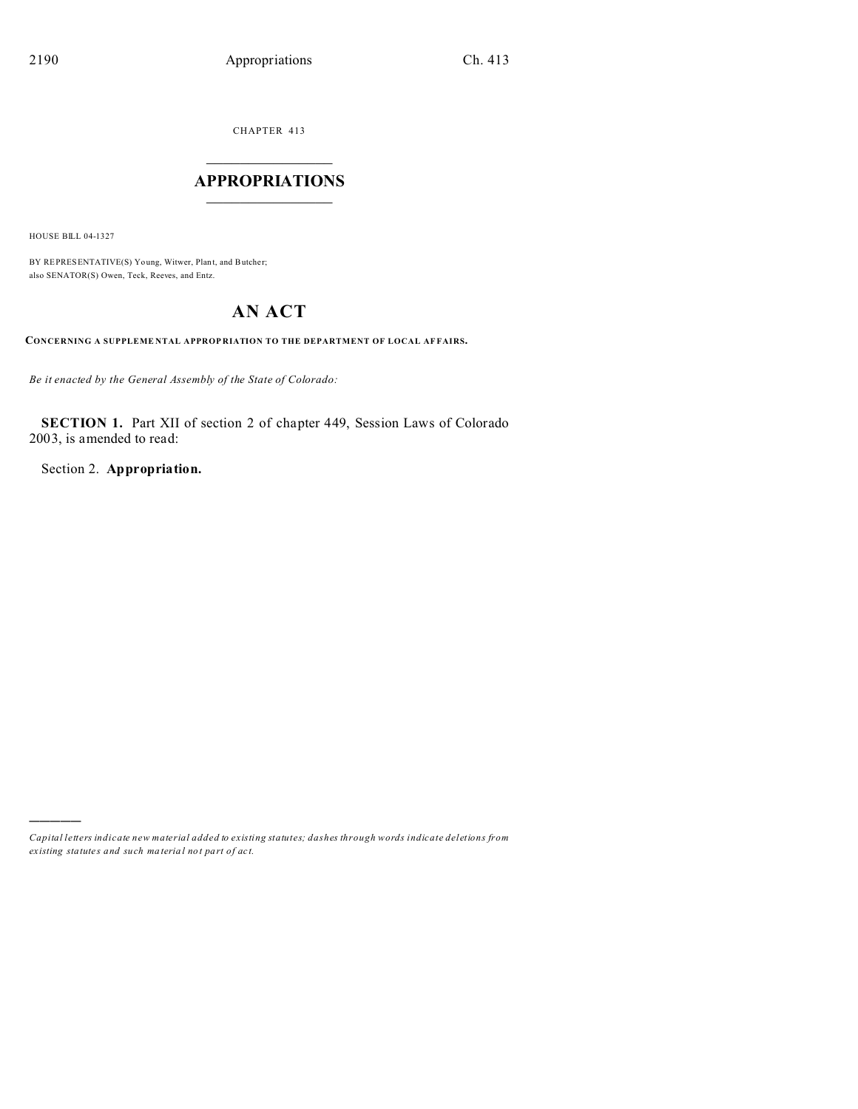CHAPTER 413  $\overline{\phantom{a}}$  , where  $\overline{\phantom{a}}$ 

## **APPROPRIATIONS**  $\_$   $\_$   $\_$   $\_$   $\_$   $\_$   $\_$   $\_$

HOUSE BILL 04-1327

)))))

BY REPRESENTATIVE(S) Young, Witwer, Plant, and Butcher; also SENATOR(S) Owen, Teck, Reeves, and Entz.

# **AN ACT**

**CONCERNING A SUPPLEME NTAL APPROP RIATION TO THE DEPARTMENT OF LOCAL AF FAIRS.**

*Be it enacted by the General Assembly of the State of Colorado:*

**SECTION 1.** Part XII of section 2 of chapter 449, Session Laws of Colorado 2003, is amended to read:

Section 2. **Appropriation.**

*Capital letters indicate new material added to existing statutes; dashes through words indicate deletions from ex isting statute s and such ma teria l no t pa rt of ac t.*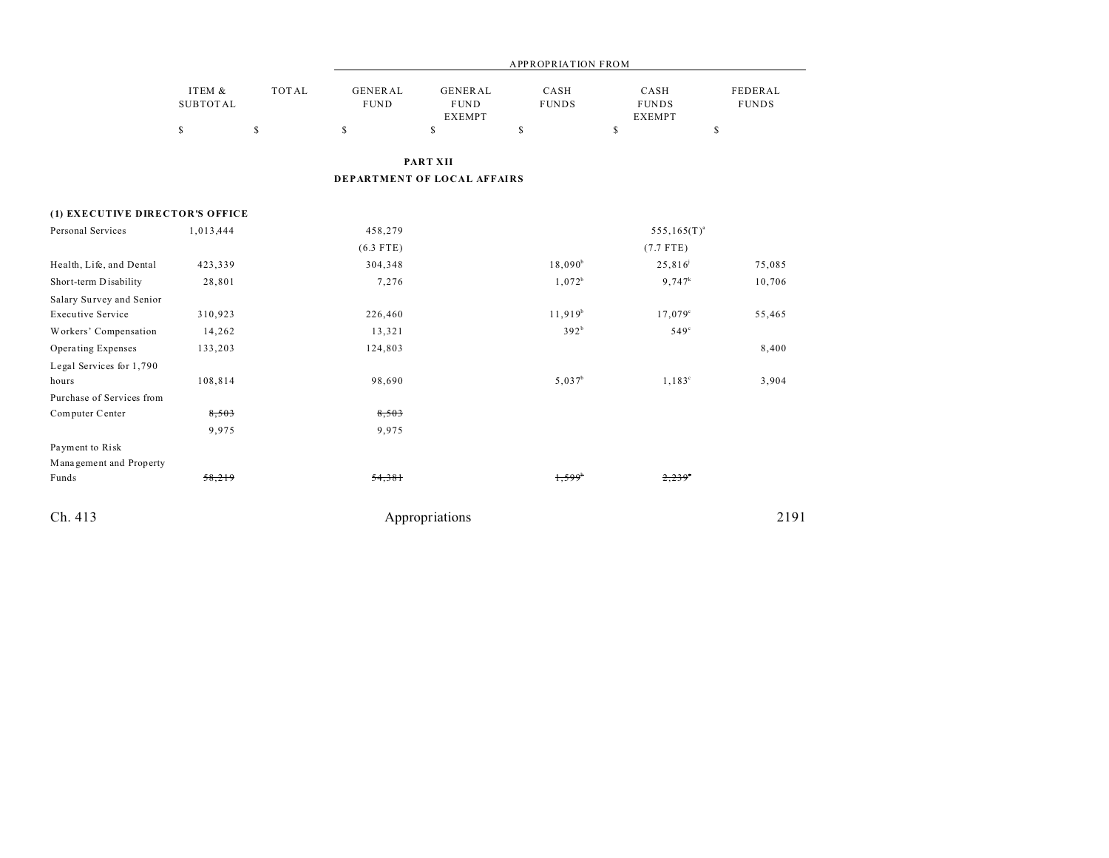|                                 |                           |              | <b>APPROPRIATION FROM</b>     |                                         |                      |                                       |                         |
|---------------------------------|---------------------------|--------------|-------------------------------|-----------------------------------------|----------------------|---------------------------------------|-------------------------|
|                                 | ITEM &<br><b>SUBTOTAL</b> | <b>TOTAL</b> | <b>GENERAL</b><br><b>FUND</b> | GENERAL<br><b>FUND</b><br><b>EXEMPT</b> | CASH<br><b>FUNDS</b> | CASH<br><b>FUNDS</b><br><b>EXEMPT</b> | FEDERAL<br><b>FUNDS</b> |
|                                 | \$                        | \$           | \$                            | $\mathbb S$                             | \$                   | \$                                    | \$                      |
|                                 |                           |              |                               | <b>PART XII</b>                         |                      |                                       |                         |
|                                 |                           |              |                               |                                         |                      |                                       |                         |
|                                 |                           |              |                               | DEPARTMENT OF LOCAL AFFAIRS             |                      |                                       |                         |
| (1) EXECUTIVE DIRECTOR'S OFFICE |                           |              |                               |                                         |                      |                                       |                         |
| Personal Services               | 1,013,444                 |              | 458,279                       |                                         |                      | $555, 165(T)^{a}$                     |                         |
|                                 |                           |              | $(6.3$ FTE)                   |                                         |                      | $(7.7$ FTE)                           |                         |
| Health, Life, and Dental        | 423,339                   |              | 304,348                       |                                         | $18,090^b$           | $25,816^{j}$                          | 75,085                  |
| Short-term Disability           | 28,801                    |              | 7,276                         |                                         | $1,072^b$            | $9,747^k$                             | 10,706                  |
| Salary Survey and Senior        |                           |              |                               |                                         |                      |                                       |                         |
| <b>Executive Service</b>        | 310,923                   |              | 226,460                       |                                         | $11,919^{b}$         | $17,079^{\circ}$                      | 55,465                  |
| Workers' Compensation           | 14,262                    |              | 13,321                        |                                         | 392 <sup>b</sup>     | $549^\circ$                           |                         |
| Operating Expenses              | 133,203                   |              | 124,803                       |                                         |                      |                                       | 8,400                   |
| Legal Services for 1,790        |                           |              |                               |                                         |                      |                                       |                         |
| hours                           | 108,814                   |              | 98,690                        |                                         | $5,037^b$            | $1,183^{\circ}$                       | 3,904                   |
| Purchase of Services from       |                           |              |                               |                                         |                      |                                       |                         |
| Computer Center                 | 8,503                     |              | 8,503                         |                                         |                      |                                       |                         |
|                                 | 9,975                     |              | 9,975                         |                                         |                      |                                       |                         |
| Payment to Risk                 |                           |              |                               |                                         |                      |                                       |                         |
| Management and Property         |                           |              |                               |                                         |                      |                                       |                         |
| Funds                           | 58,219                    |              | 54,381                        |                                         | 1,599'               | 2,239                                 |                         |
|                                 |                           |              |                               |                                         |                      |                                       |                         |
| Ch. 413                         |                           |              |                               | Appropriations                          |                      |                                       | 2191                    |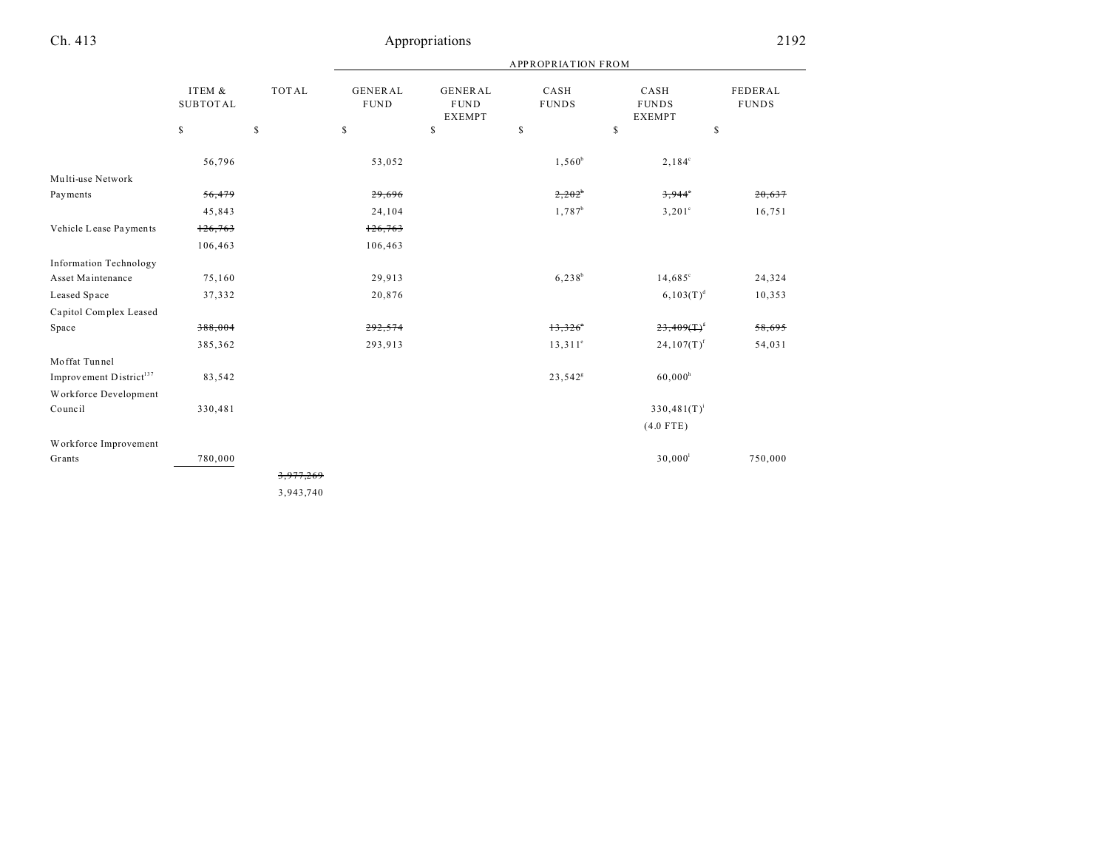|                                     |                           |              | <b>APPROPRIATION FROM</b>     |                                                |                      |                                       |                         |
|-------------------------------------|---------------------------|--------------|-------------------------------|------------------------------------------------|----------------------|---------------------------------------|-------------------------|
|                                     | ITEM &<br><b>SUBTOTAL</b> | <b>TOTAL</b> | <b>GENERAL</b><br><b>FUND</b> | <b>GENERAL</b><br><b>FUND</b><br><b>EXEMPT</b> | CASH<br><b>FUNDS</b> | CASH<br><b>FUNDS</b><br><b>EXEMPT</b> | FEDERAL<br><b>FUNDS</b> |
|                                     | \$                        | $\mathbb{S}$ | $\mathbb{S}$                  | \$                                             | $\mathbb{S}$         | $\mathbb{S}$<br>\$                    |                         |
|                                     | 56,796                    |              | 53,052                        |                                                | $1,560^b$            | $2,184^{\circ}$                       |                         |
| Multi-use Network                   |                           |              |                               |                                                |                      |                                       |                         |
| Payments                            | 56,479                    |              | 29,696                        |                                                | $2,202^{\circ}$      | $3,944$ <sup>*</sup>                  | 20,637                  |
|                                     | 45,843                    |              | 24,104                        |                                                | 1,787 <sup>b</sup>   | $3,201^{\circ}$                       | 16,751                  |
| Vehicle Lease Payments              | 126,763                   |              | 126,763                       |                                                |                      |                                       |                         |
|                                     | 106,463                   |              | 106,463                       |                                                |                      |                                       |                         |
| <b>Information Technology</b>       |                           |              |                               |                                                |                      |                                       |                         |
| Asset Maintenance                   | 75,160                    |              | 29,913                        |                                                | $6,238^{b}$          | $14,685^{\circ}$                      | 24,324                  |
| Leased Space                        | 37,332                    |              | 20,876                        |                                                |                      | $6, 103(T)^d$                         | 10,353                  |
| Capitol Complex Leased              |                           |              |                               |                                                |                      |                                       |                         |
| Space                               | 388,004                   |              | 292,574                       |                                                | 13,326'              | $23,409($ T $)^t$                     | 58,695                  |
|                                     | 385,362                   |              | 293,913                       |                                                | $13,311^{\circ}$     | $24,107(T)^f$                         | 54,031                  |
| Moffat Tunnel                       |                           |              |                               |                                                |                      |                                       |                         |
| Improvement District <sup>137</sup> | 83,542                    |              |                               |                                                | 23,542 <sup>s</sup>  | $60,000^h$                            |                         |
| Workforce Development               |                           |              |                               |                                                |                      |                                       |                         |
| Council                             | 330,481                   |              |                               |                                                |                      | $330,481(T)^{i}$                      |                         |
|                                     |                           |              |                               |                                                |                      | $(4.0$ FTE)                           |                         |
| Workforce Improvement               |                           |              |                               |                                                |                      |                                       |                         |
| Grants                              | 780,000                   |              |                               |                                                |                      | 30,000 <sup>1</sup>                   | 750,000                 |
|                                     |                           | 3,977,269    |                               |                                                |                      |                                       |                         |
|                                     |                           | 3,943,740    |                               |                                                |                      |                                       |                         |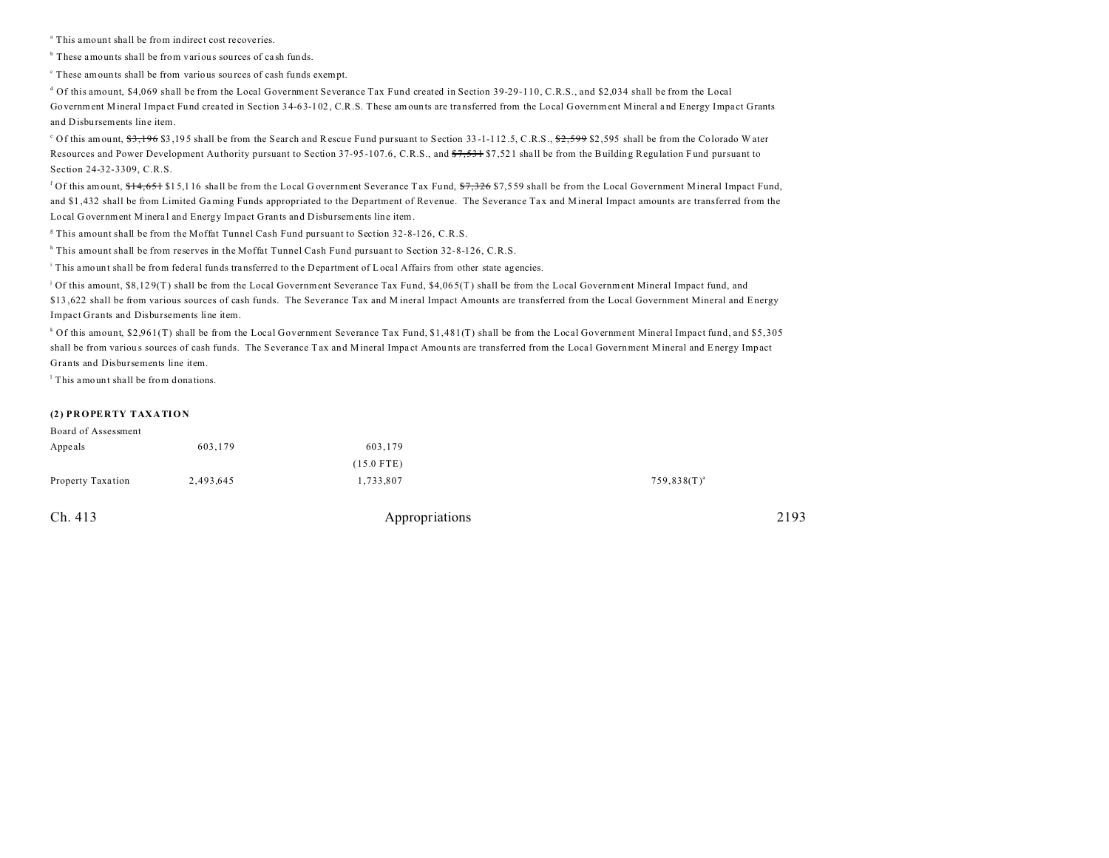a This amount shall be from indirect cost recoveries.

<sup>b</sup> These amounts shall be from various sources of cash funds.

c These amounts shall be from various sou rces of cash funds exempt.

d Of this amount, \$4,069 shall be from the Local Government Severance Tax Fund created in Section 39-29-110, C.R.S., and \$2,034 shall be from the Local Government Mineral Impact Fund created in Section 34-63-102, C.R.S. These amounts are transferred from the Local Government Mineral and Energy Impact Grants and Disbursements line item.

<sup>e</sup> Of this amount, <del>\$3,196</del> \$3,195 shall be from the Search and Rescue Fund pursuant to Section 33-1-112.5, C.R.S., <del>\$2,599</del> \$2,595 shall be from the Colorado W ater Resources and Power Development Authority pursuant to Section 37-95-107.6, C.R.S., and \$7,531 \$7,521 shall be from the Building Regulation Fund pursuant to Section 24-32-3309, C.R.S.

<sup>f</sup> Of this amount, <del>\$14,651</del> \$15,116 shall be from the Local Government Severance Tax Fund, <del>\$7,326</del> \$7,559 shall be from the Local Government Mineral Impact Fund, and \$1 ,432 shall be from Limited Gaming Funds appropriated to the Department of Revenue. The Severance Ta x and Mineral Impact amounts are transferred from the Local G overnment M ineral and Energy Impact Grants and D isbursements line item.

g This amount shall be from the Moffat Tunnel Cash Fund pursuant to Section 32-8-126, C.R.S.

<sup>h</sup> This amount shall be from reserves in the Moffat Tunnel Cash Fund pursuant to Section 32-8-126, C.R.S.

This amount shall be from federal funds transferred to the Department of Local Affairs from other state agencies.

j Of this amount, \$8,12 9(T) shall be from the Local Government Severance Tax Fu nd, \$4,06 5(T) shall be from the Local Government Mineral Impact fund, and \$13 ,622 shall be from various sources of cash funds. The Severance Tax and M ineral Impact Amounts are transferred from the Local Government Mineral and Energy Impact Grants and Disbursements line item.

k Of this amount, \$2,961(T) shall be from the Local Government Severance Tax Fund, \$1,481(T) shall be from the Local Government Mineral Impact fund, and \$5,305 shall be from various sources of cash funds. The Severance Tax and Mineral Impact Amounts are transferred from the Local Government Mineral and Energy Impact Grants and Disbursements line item.

l This amount shall be from dona tions.

#### **(2) PROPERTY TAXATION**

| 1,733,807<br>2,493,645 | $759,838(T)^{a}$ |
|------------------------|------------------|
| $(15.0$ FTE)           |                  |
| 603,179<br>603,179     |                  |
|                        |                  |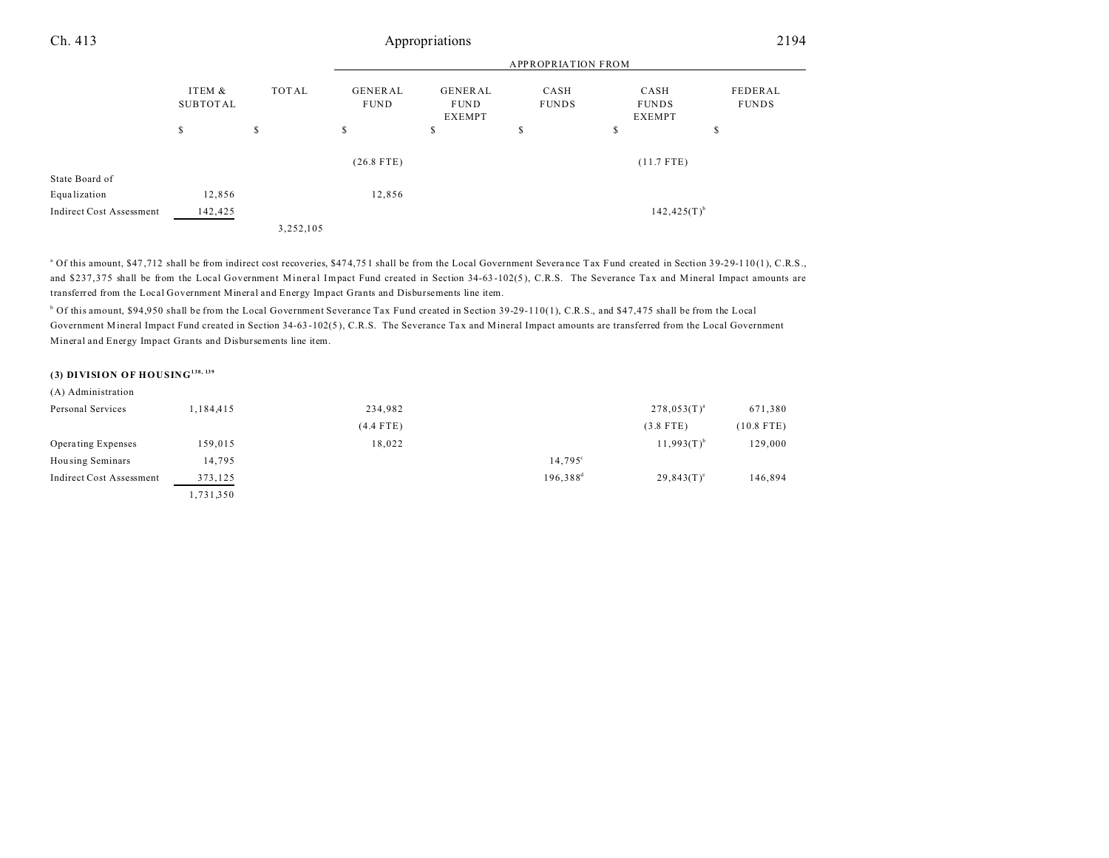## Ch. 413 Appropriations 2194

|                                 |                    |           | <b>APPROPRIATION FROM</b>     |                                                |                      |                                       |                         |
|---------------------------------|--------------------|-----------|-------------------------------|------------------------------------------------|----------------------|---------------------------------------|-------------------------|
|                                 | ITEM &<br>SUBTOTAL | TOTAL     | <b>GENERAL</b><br><b>FUND</b> | <b>GENERAL</b><br><b>FUND</b><br><b>EXEMPT</b> | CASH<br><b>FUNDS</b> | CASH<br><b>FUNDS</b><br><b>EXEMPT</b> | FEDERAL<br><b>FUNDS</b> |
|                                 | s                  | S         | S                             | \$                                             | \$                   | \$                                    | ch<br>ъ                 |
|                                 |                    |           | $(26.8$ FTE)                  |                                                |                      | $(11.7$ FTE)                          |                         |
| State Board of                  |                    |           |                               |                                                |                      |                                       |                         |
| Equalization                    | 12,856             |           | 12,856                        |                                                |                      |                                       |                         |
| <b>Indirect Cost Assessment</b> | 142,425            |           |                               |                                                |                      | $142,425(T)^{b}$                      |                         |
|                                 |                    | 3,252,105 |                               |                                                |                      |                                       |                         |

<sup>a</sup> Of this amount, \$47,712 shall be from indirect cost recoveries, \$474,751 shall be from the Local Government Severance Tax Fund created in Section 39-29-110(1), C.R.S., and \$237,375 shall be from the Local Government Mineral Impact Fund created in Section 34-63-102(5), C.R.S. The Severance Tax and Mineral Impact amounts are transferred from the Local Government Mineral and Energy Impact Grants and Disbursements line item.

<sup>b</sup> Of this amount, \$94,950 shall be from the Local Government Severance Tax Fund created in Section 39-29-110(1), C.R.S., and \$47,475 shall be from the Local Government Mineral Impact Fund created in Section 34-63 -102(5 ), C.R.S. The Severance Ta x and Mineral Impact amounts are transferred from the Local Government Mineral and Energy Impact Grants and Disbursements line item.

### **(3) DIVISION OF HOUSING138, 139**

#### (A) Administration Personal Services 1,184,415 234,982 278,053(T)<sup>a</sup> 278,053(T)<sup>a</sup> 671,380 (4.4 FTE) (3.8 FTE) (10.8 FTE) Operating Expenses 159,015 18,022 11,993 $(T)^b$  11,993 $(T)^b$ 129,000 Housing Seminars 14,795<sup>c</sup> 14,795<sup>c</sup> 14,795<sup>c</sup> Indirect Cost Assessment  $373,125$   $196,388^d$  $29,843(T)^e$ 146,894 1,731,350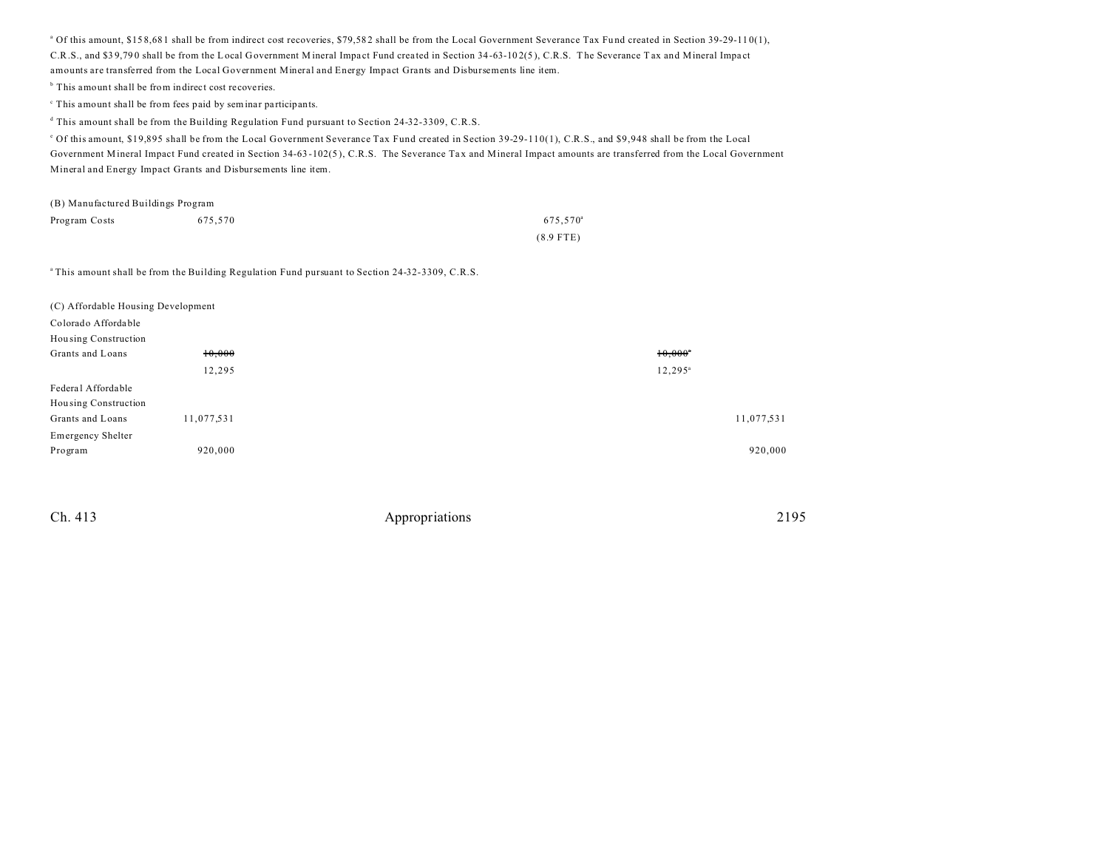<sup>a</sup> Of this amount, \$158,681 shall be from indirect cost recoveries, \$79,582 shall be from the Local Government Severance Tax Fund created in Section 39-29-110(1), C.R.S., and \$39,790 shall be from the Local Government Mineral Impact Fund created in Section 34-63-102(5), C.R.S. The Severance Tax and Mineral Impact amounts are transferred from the Local Government Mineral and Energy Impact Grants and Disbursements line item.

<sup>b</sup> This amount shall be from indirect cost recoveries.

<sup>c</sup> This amount shall be from fees paid by seminar participants.

d This amount shall be from the Building Regulation Fund pursuant to Section 24-32-3309, C.R.S.

e Of this amount, \$19,895 shall be from the Local Government Severance Tax Fund created in Section 39-29-110(1), C.R.S., and \$9,948 shall be from the Local Government Mineral Impact Fund created in Section 34-63 -102(5 ), C.R.S. The Severance Ta x and Mineral Impact amounts are transferred from the Local Government Mineral and Energy Impact Grants and Disbursements line item.

| (B) Manufactured Buildings Program |         |                      |  |  |  |
|------------------------------------|---------|----------------------|--|--|--|
| Program Costs                      | 675.570 | 675.570 <sup>a</sup> |  |  |  |
|                                    |         | $(8.9$ FTE)          |  |  |  |

<sup>a</sup>This amount shall be from the Building Regulation Fund pursuant to Section 24-32-3309, C.R.S.

| (C) Affordable Housing Development |            |                       |  |
|------------------------------------|------------|-----------------------|--|
| Colorado Affordable                |            |                       |  |
| Housing Construction               |            |                       |  |
| Grants and Loans                   | 10,000     | $10,000$ <sup>*</sup> |  |
|                                    | 12,295     | $12, 295^{\circ}$     |  |
| Federal Affordable                 |            |                       |  |
| Housing Construction               |            |                       |  |
| Grants and Loans                   | 11,077,531 | 11,077,531            |  |
| Emergency Shelter                  |            |                       |  |
| Program                            | 920,000    | 920,000               |  |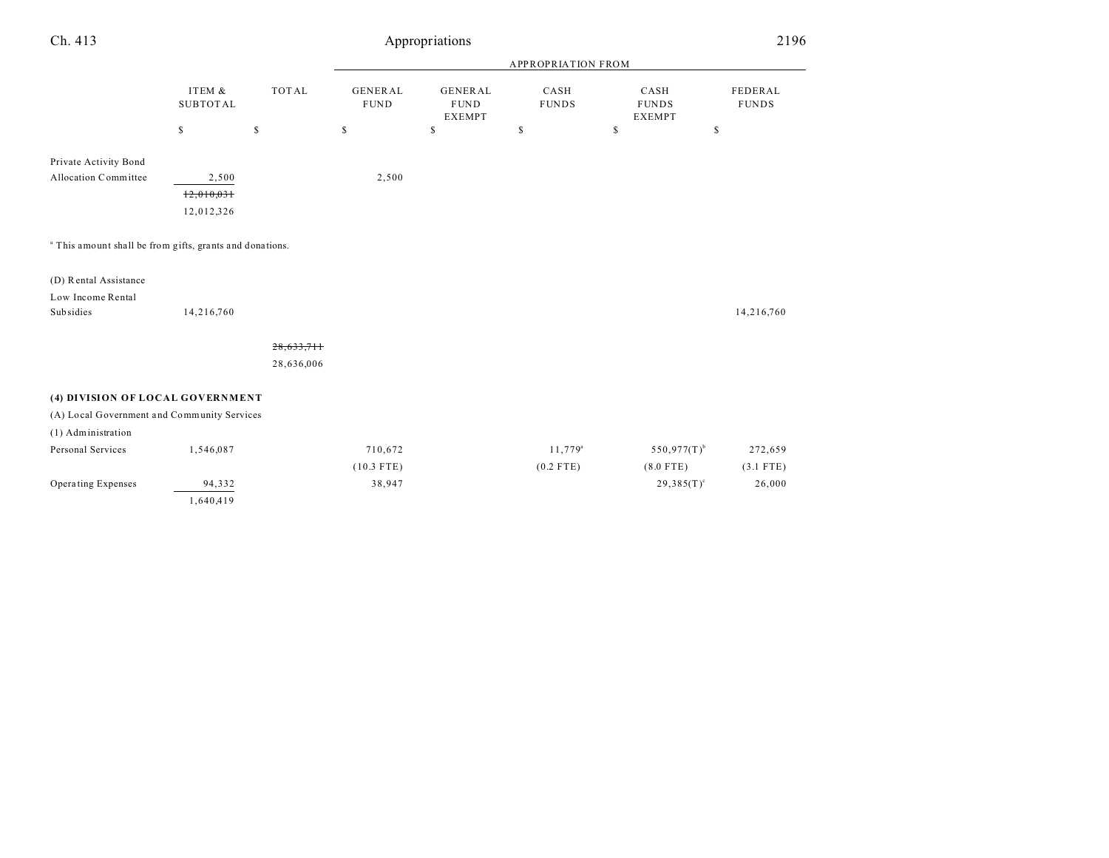| Ch. 413                                                             |                           |              |                               | Appropriations                                 |                      |                                       | 2196                    |  |
|---------------------------------------------------------------------|---------------------------|--------------|-------------------------------|------------------------------------------------|----------------------|---------------------------------------|-------------------------|--|
|                                                                     |                           |              | <b>APPROPRIATION FROM</b>     |                                                |                      |                                       |                         |  |
|                                                                     | ITEM &<br><b>SUBTOTAL</b> | <b>TOTAL</b> | <b>GENERAL</b><br><b>FUND</b> | <b>GENERAL</b><br><b>FUND</b><br><b>EXEMPT</b> | CASH<br><b>FUNDS</b> | CASH<br><b>FUNDS</b><br><b>EXEMPT</b> | FEDERAL<br><b>FUNDS</b> |  |
|                                                                     | \$                        | $\mathbb S$  | \$                            | $\mathbb{S}$                                   | \$                   | \$                                    | \$                      |  |
| Private Activity Bond                                               |                           |              |                               |                                                |                      |                                       |                         |  |
| Allocation Committee                                                | 2,500                     |              | 2,500                         |                                                |                      |                                       |                         |  |
|                                                                     | 12,010,031                |              |                               |                                                |                      |                                       |                         |  |
|                                                                     | 12,012,326                |              |                               |                                                |                      |                                       |                         |  |
| <sup>a</sup> This amount shall be from gifts, grants and donations. |                           |              |                               |                                                |                      |                                       |                         |  |
| (D) Rental Assistance                                               |                           |              |                               |                                                |                      |                                       |                         |  |
| Low Income Rental                                                   |                           |              |                               |                                                |                      |                                       |                         |  |
| Subsidies                                                           | 14,216,760                |              |                               |                                                |                      |                                       | 14,216,760              |  |
|                                                                     |                           | 28,633,711   |                               |                                                |                      |                                       |                         |  |
|                                                                     |                           | 28,636,006   |                               |                                                |                      |                                       |                         |  |
| (4) DIVISION OF LOCAL GOVERNMENT                                    |                           |              |                               |                                                |                      |                                       |                         |  |
| (A) Local Government and Community Services                         |                           |              |                               |                                                |                      |                                       |                         |  |
| (1) Administration                                                  |                           |              |                               |                                                |                      |                                       |                         |  |
| Personal Services                                                   | 1,546,087                 |              | 710,672                       |                                                | 11,779 <sup>a</sup>  | $550,977(T)$ <sup>b</sup>             | 272,659                 |  |
|                                                                     |                           |              | $(10.3$ FTE)                  |                                                | $(0.2$ FTE)          | $(8.0$ FTE)                           | $(3.1$ FTE)             |  |
| Operating Expenses                                                  | 94,332                    |              | 38,947                        |                                                |                      | $29,385(T)^c$                         | 26,000                  |  |
|                                                                     | 1,640,419                 |              |                               |                                                |                      |                                       |                         |  |
|                                                                     |                           |              |                               |                                                |                      |                                       |                         |  |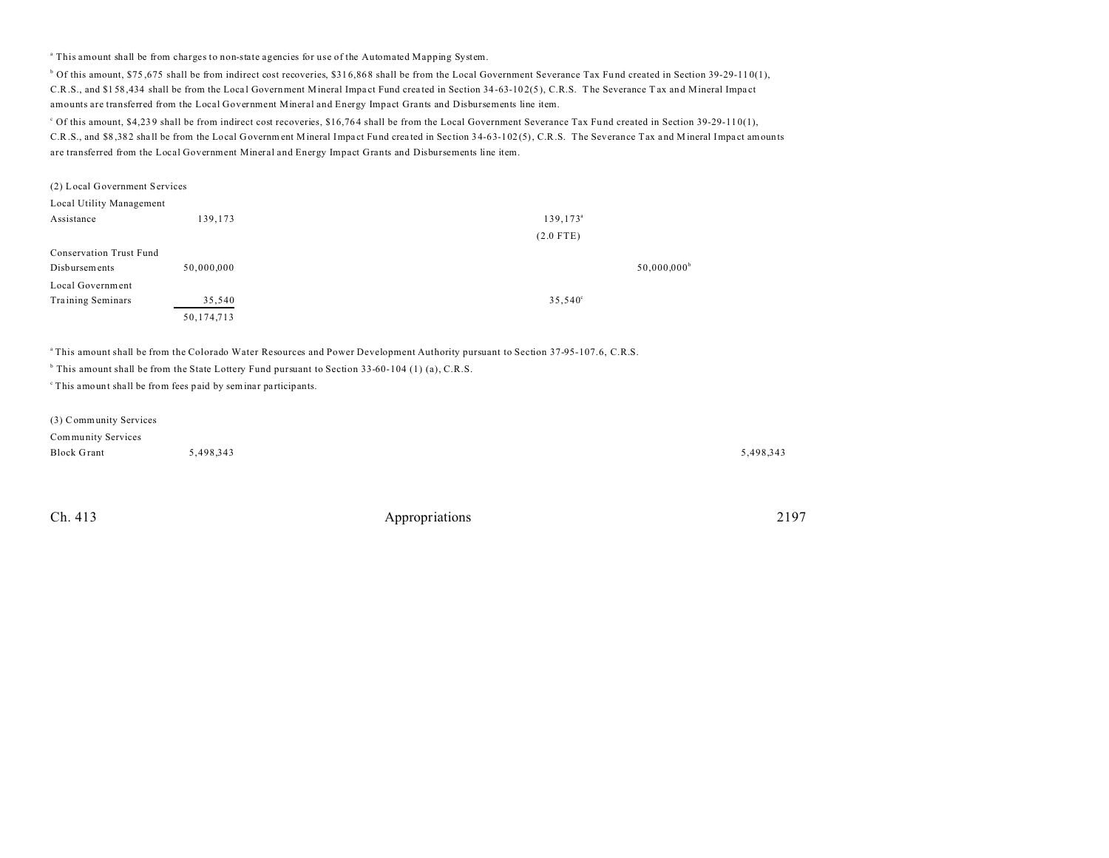a This amount shall be from charges to non-state agencies for use of the Automated Mapping System.

<sup>b</sup> Of this amount, \$75,675 shall be from indirect cost recoveries, \$316,868 shall be from the Local Government Severance Tax Fund created in Section 39-29-110(1), C.R.S., and \$158,434 shall be from the Local Government Mineral Impact Fund created in Section 34-63-102(5), C.R.S. The Severance T ax and Mineral Impact amounts are transferred from the Local Government Mineral and Energy Impact Grants and Disbursements line item.

C Of this amount, \$4,239 shall be from indirect cost recoveries, \$16,764 shall be from the Local Government Severance Tax Fund created in Section 39-29-110(1), C.R.S., and \$8 ,38 2 sha ll be from the Local G overnment Mineral Impa ct Fund crea ted in Section 34-63-102 (5), C.R.S. The Severance Tax a nd Mineral Impa ct amounts are transferred from the Local Government Mineral and Energy Impact Grants and Disbursements line item.

| (2) Local Government Services  |            |                      |
|--------------------------------|------------|----------------------|
| Local Utility Management       |            |                      |
| Assistance                     | 139,173    | 139,173 <sup>a</sup> |
|                                |            | $(2.0$ FTE)          |
| <b>Conservation Trust Fund</b> |            |                      |
| Disbursements                  | 50,000,000 | $50,000,000^b$       |
| Local Government               |            |                      |
| Training Seminars              | 35,540     | 35,540°              |
|                                | 50,174,713 |                      |

<sup>a</sup>This amount shall be from the Colorado Water Resources and Power Development Authority pursuant to Section 37-95-107.6, C.R.S.

<sup>b</sup> This amount shall be from the State Lottery Fund pursuant to Section 33-60-104 (1) (a), C.R.S.

<sup>c</sup> This amount shall be from fees paid by seminar participants.

| (3) Community Services |           |           |
|------------------------|-----------|-----------|
| Community Services     |           |           |
| <b>Block Grant</b>     | 5.498.343 | 5,498,343 |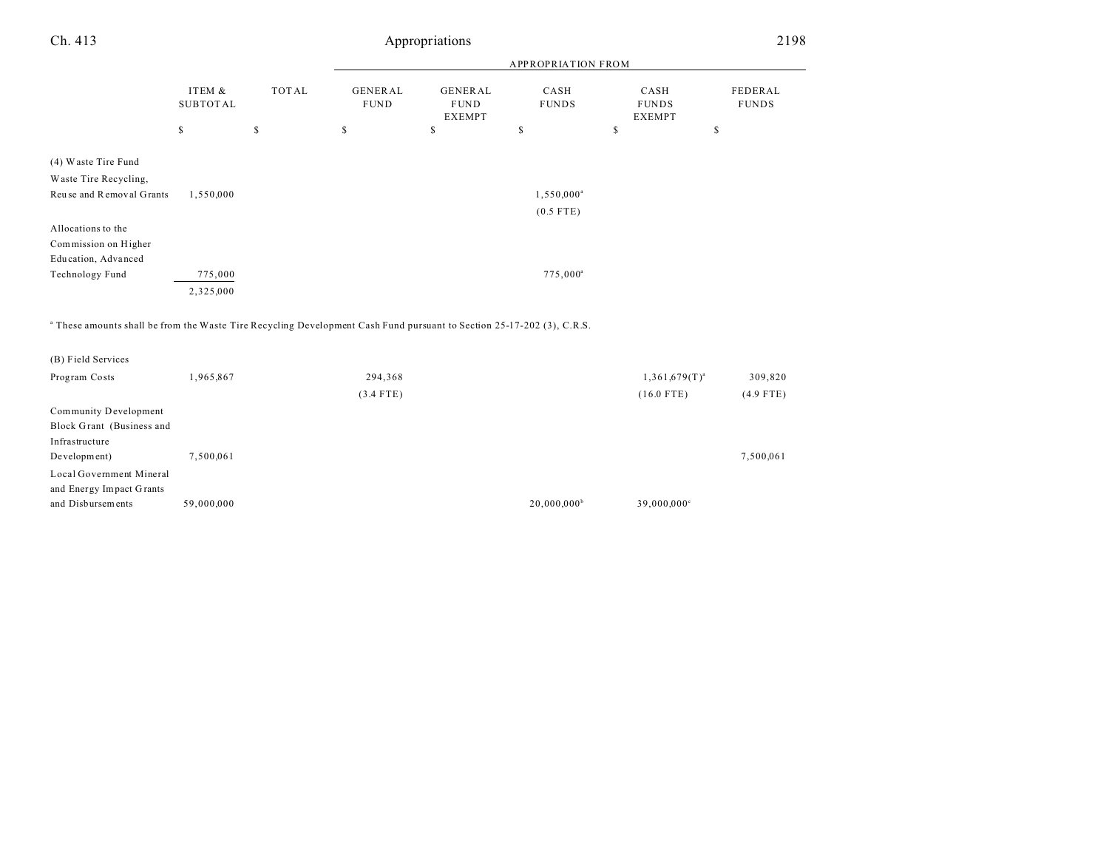| Ch. 413                                                                                                                           | Appropriations            |       |                               |                                                |                      |                                       | 2198                    |  |
|-----------------------------------------------------------------------------------------------------------------------------------|---------------------------|-------|-------------------------------|------------------------------------------------|----------------------|---------------------------------------|-------------------------|--|
|                                                                                                                                   |                           |       | <b>APPROPRIATION FROM</b>     |                                                |                      |                                       |                         |  |
|                                                                                                                                   | ITEM &<br><b>SUBTOTAL</b> | TOTAL | <b>GENERAL</b><br><b>FUND</b> | <b>GENERAL</b><br><b>FUND</b><br><b>EXEMPT</b> | CASH<br><b>FUNDS</b> | CASH<br><b>FUNDS</b><br><b>EXEMPT</b> | FEDERAL<br><b>FUNDS</b> |  |
|                                                                                                                                   | \$                        | \$    | \$                            | \$                                             | \$                   | \$                                    | \$                      |  |
| (4) Waste Tire Fund                                                                                                               |                           |       |                               |                                                |                      |                                       |                         |  |
| Waste Tire Recycling,                                                                                                             |                           |       |                               |                                                |                      |                                       |                         |  |
| Reuse and Removal Grants                                                                                                          | 1,550,000                 |       |                               |                                                | $1,550,000^{\circ}$  |                                       |                         |  |
|                                                                                                                                   |                           |       |                               |                                                | $(0.5$ FTE)          |                                       |                         |  |
| Allocations to the                                                                                                                |                           |       |                               |                                                |                      |                                       |                         |  |
| Commission on Higher                                                                                                              |                           |       |                               |                                                |                      |                                       |                         |  |
| Education, Advanced                                                                                                               |                           |       |                               |                                                |                      |                                       |                         |  |
| Technology Fund                                                                                                                   | 775,000                   |       |                               |                                                | $775,000^{\circ}$    |                                       |                         |  |
|                                                                                                                                   | 2,325,000                 |       |                               |                                                |                      |                                       |                         |  |
| <sup>a</sup> These amounts shall be from the Waste Tire Recycling Development Cash Fund pursuant to Section 25-17-202 (3), C.R.S. |                           |       |                               |                                                |                      |                                       |                         |  |

| (B) Field Services        |            |             |                |                           |             |
|---------------------------|------------|-------------|----------------|---------------------------|-------------|
| Program Costs             | 1,965,867  | 294,368     |                | $1,361,679(T)^{a}$        | 309,820     |
|                           |            | $(3.4$ FTE) |                | $(16.0$ FTE)              | $(4.9$ FTE) |
| Community Development     |            |             |                |                           |             |
| Block Grant (Business and |            |             |                |                           |             |
| Infrastructure            |            |             |                |                           |             |
| Development)              | 7,500,061  |             |                |                           | 7,500,061   |
| Local Government Mineral  |            |             |                |                           |             |
| and Energy Impact Grants  |            |             |                |                           |             |
| and Disbursements         | 59,000,000 |             | $20,000,000^b$ | $39,000,000$ <sup>c</sup> |             |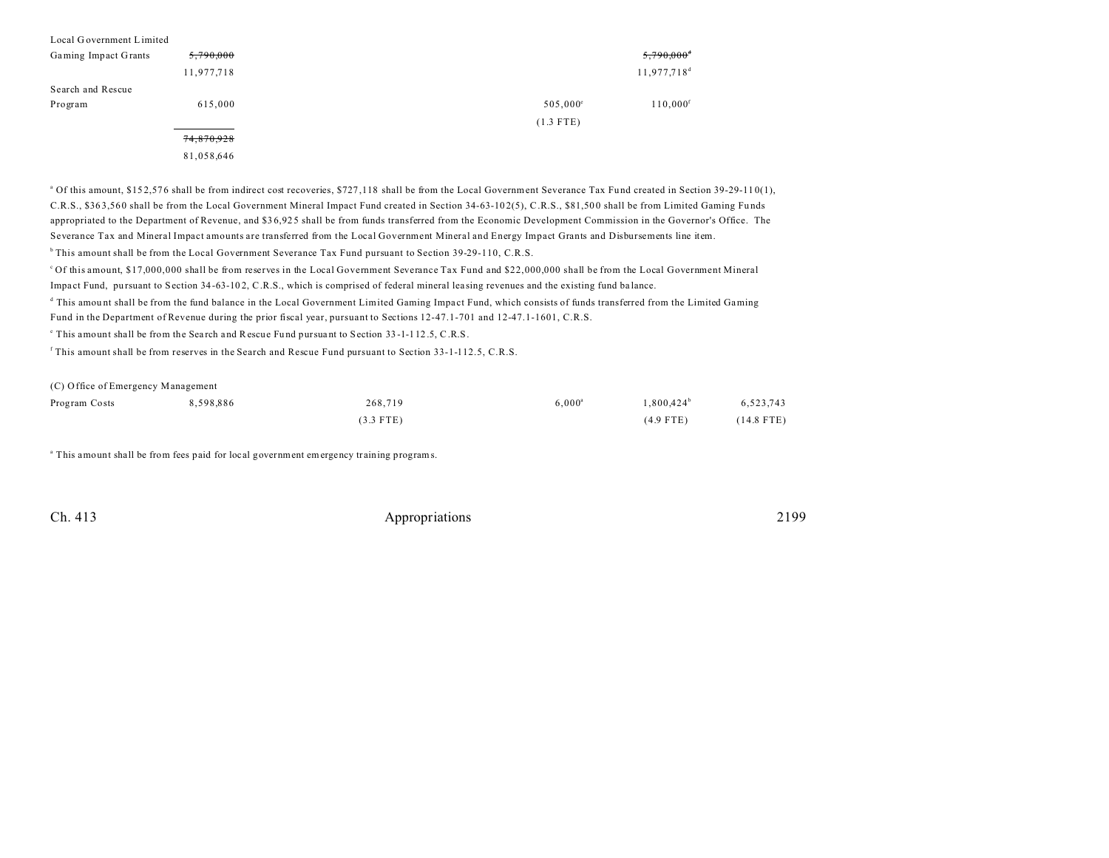| Local Government Limited |            |                   |                          |
|--------------------------|------------|-------------------|--------------------------|
| Gaming Impact Grants     | 5,790,000  |                   | $5,790,000$ <sup>d</sup> |
|                          | 11,977,718 |                   | 11,977,718 <sup>d</sup>  |
| Search and Rescue        |            |                   |                          |
| Program                  | 615,000    | $505,000^{\circ}$ | $110,000$ <sup>f</sup>   |
|                          |            | $(1.3$ FTE)       |                          |
|                          | 74,870,928 |                   |                          |

81,058,646

<sup>a</sup> Of this amount, \$152,576 shall be from indirect cost recoveries, \$727,118 shall be from the Local Government Severance Tax Fund created in Section 39-29-110(1), C.R.S., \$363,560 shall be from the Local Government Mineral Impact Fund created in Section 34-63-102(5), C.R.S., \$81,500 shall be from Limited Gaming Funds appropriated to the Department of Revenue, and \$3 6,92 5 shall be from funds transferred from the Economic Development Commission in the Governor's Office. The Severance Tax and Mineral Impact amounts are transferred from the Local Government Mineral and Energy Impact Grants and Disbursements line item.

<sup>b</sup> This amount shall be from the Local Government Severance Tax Fund pursuant to Section 39-29-110, C.R.S.

<sup>c</sup>Of this amount, \$17,000,000 shall be from reserves in the Local Government Severance Tax Fund and \$22,000,000 shall be from the Local Government Mineral

Impact Fund, pursuant to Section 34-63-102, C.R.S., which is comprised of federal mineral leasing revenues and the existing fund balance.

This amount shall be from the fund balance in the Local Government Limited Gaming Impact Fund, which consists of funds transferred from the Limited Gaming Fund in the Department of Revenue during the prior fiscal year, pursuant to Sections 12-47.1-701 and 12-47.1-1601, C.R.S.

This amount shall be from the Search and Rescue Fund pursuant to Section 33-1-112.5, C.R.S.

f This amount shall be from reserves in the Search and Rescue Fund pursuant to Section 33-1-112.5, C.R.S.

(C) Office of Emergency Management

| Program Costs | 8,598,886 | 268,719     | $6,000^{\circ}$ | $1,800,424^{\circ}$ | 6,523,743    |
|---------------|-----------|-------------|-----------------|---------------------|--------------|
|               |           | $(3.3$ FTE) |                 | $(4.9$ FTE)         | $(14.8$ FTE) |

<sup>a</sup> This amount shall be from fees paid for local government emergency training programs.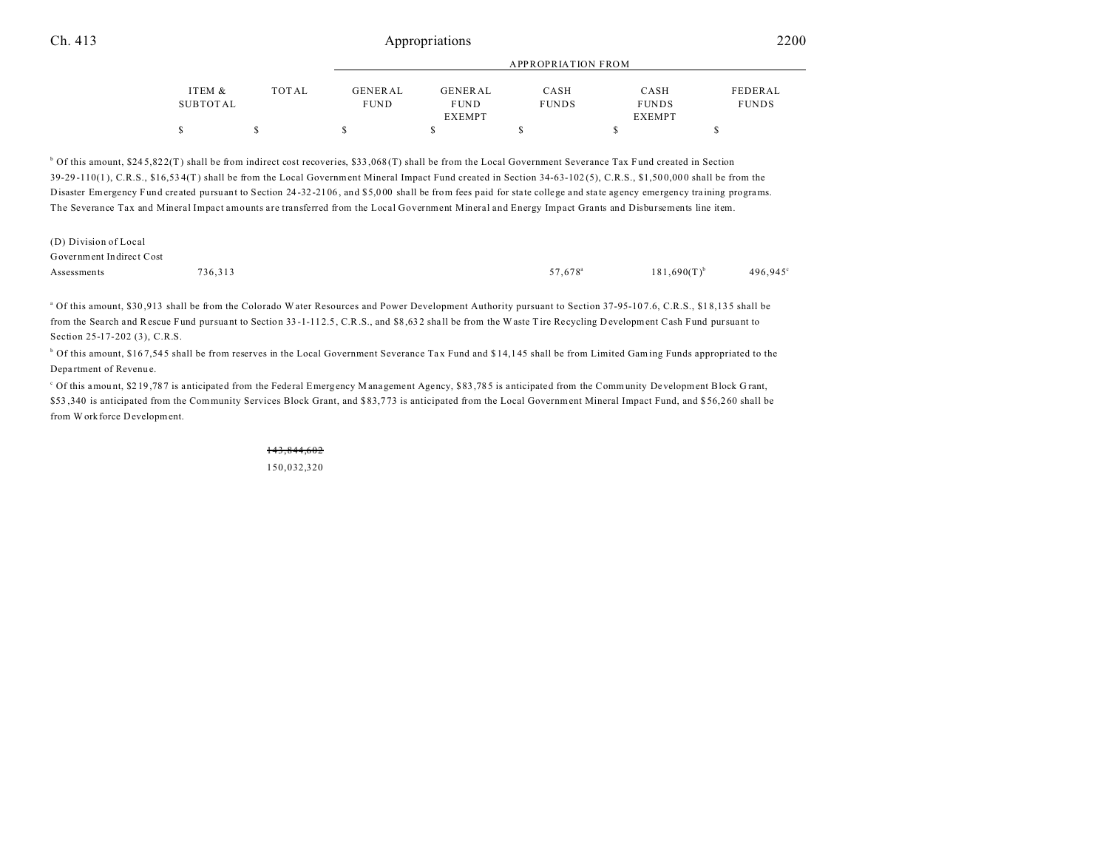|          |              |                | APPROPRIATION FROM |              |               |              |  |
|----------|--------------|----------------|--------------------|--------------|---------------|--------------|--|
| ITEM &   | <b>TOTAL</b> | <b>GENERAL</b> | <b>GENERAL</b>     | CASH         | CASH          | FEDERAL      |  |
| SUBTOTAL |              | <b>FUND</b>    | <b>FUND</b>        | <b>FUNDS</b> | <b>FUNDS</b>  | <b>FUNDS</b> |  |
|          |              |                | <b>EXEMPT</b>      |              | <b>EXEMPT</b> |              |  |
| \$       |              |                |                    |              |               |              |  |

<sup>b</sup> Of this amount, \$245,822(T) shall be from indirect cost recoveries, \$33,068(T) shall be from the Local Government Severance Tax Fund created in Section 39-29 -110(1 ), C.R.S., \$16,53 4(T) shall be from the Local Government Mineral Impact Fund created in Section 34-63-102 (5), C.R.S., \$1,50 0,00 0 shall be from the Disaster Emergency Fund created pursuant to Section 24 -32 -21 06 , and \$5,0 00 shall be from fees paid for state college and sta te agency emergency tra ining programs. The Severance Tax and Mineral Impact amounts are transferred from the Local Government Mineral and Energy Impact Grants and Disbursements line item.

| (D) Division of Local    |         |                     |                  |                   |
|--------------------------|---------|---------------------|------------------|-------------------|
| Government Indirect Cost |         |                     |                  |                   |
| Assessments              | 736.313 | 57.678 <sup>a</sup> | $181,690(T)^{b}$ | $496,945^{\circ}$ |

<sup>a</sup> Of this amount, \$30,913 shall be from the Colorado Water Resources and Power Development Authority pursuant to Section 37-95-107.6, C.R.S., \$18,135 shall be from the Search and Rescue Fund pursuant to Section 33-1-112.5, C.R.S., and \$8,632 shall be from the Waste Tire Recycling D evelopment Cash Fund pursuant to Section 25-17-202 (3), C.R.S.

<sup>b</sup> Of this amount, \$167,545 shall be from reserves in the Local Government Severance Tax Fund and \$14,145 shall be from Limited Gaming Funds appropriated to the Depa rtment of Revenu e.

Of this amount, \$219,787 is anticipated from the Federal Emergency Management Agency, \$83,785 is anticipated from the Community Development Block Grant, \$53 ,340 is anticipated from the Community Services Block Grant, and \$83,7 73 is anticipated from the Local Government Mineral Impact Fund, and \$ 56,2 60 shall be from W orkforce Development.

> 143,844,602 150,032,320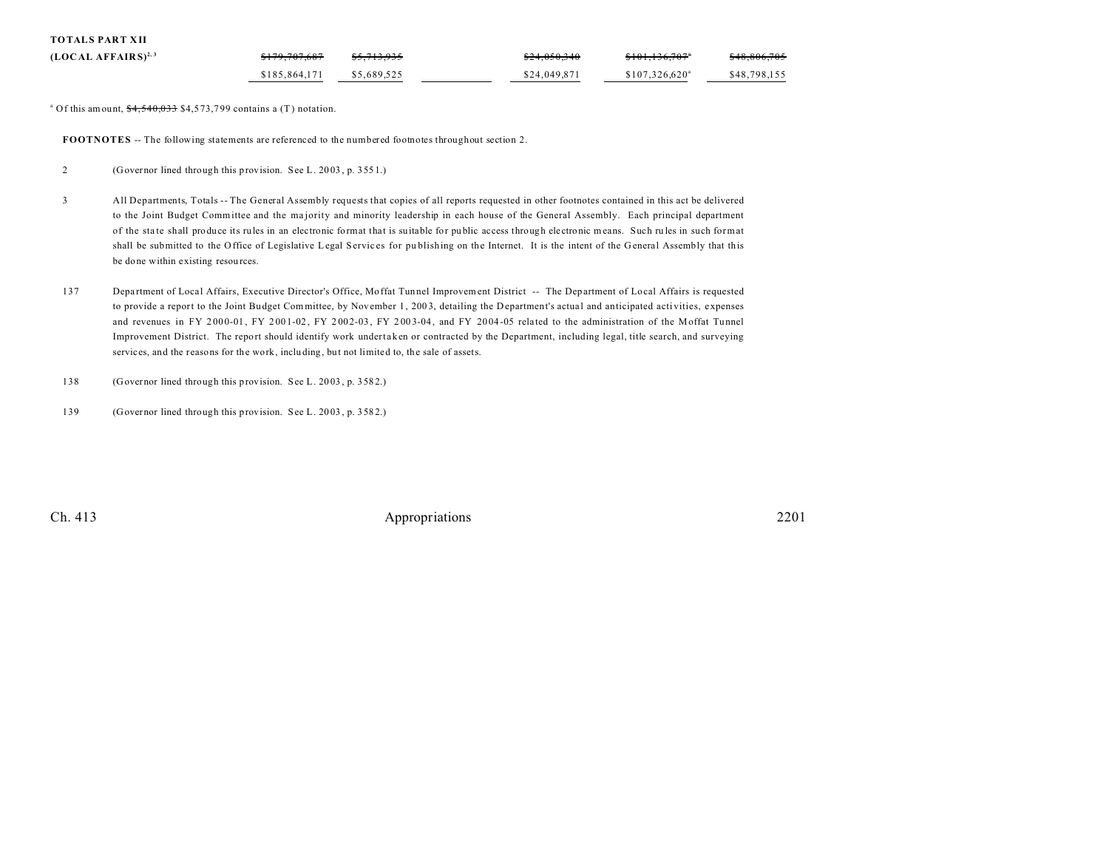| <b>TOTALS PART XII</b> |  |  |
|------------------------|--|--|
|------------------------|--|--|

| $(LOCAL AFFAIRS)^{2,3}$ | <del>\$179,707,687</del> | <del>\$5.713.935</del> | \$24,050,340 | \$101,136,707               | \$48,806,705 |
|-------------------------|--------------------------|------------------------|--------------|-----------------------------|--------------|
|                         | \$185,864,171            | \$5,689,525            | \$24,049.871 | $$107.326.620$ <sup>a</sup> | \$48,798,155 |

<sup>a</sup> Of this amount,  $\frac{$4,540,033}{4}$  \$4,573,799 contains a (T) notation.

**FOOTNOTES** -- The following statements are referenced to the numbered footnotes throughout section 2.

- 2 (Governor lined through this provision. See L. 20 03 , p. 355 1.)
- 3 All Departments, Totals -- The General Assembly requests that copies of all reports requested in other footnotes contained in this act be delivered to the Joint Budget Committee and the ma jority and minority leadership in each house of the General Assembly. Each principal department of the sta te shall produce its rules in an electronic format that is su itable for pu blic access through electronic means. Such ru les in such format shall be submitted to the Office of Legislative Legal Services for publishing on the Internet. It is the intent of the General Assembly that this be done within existing resources.
- 137 Department of Local Affairs, Executive Director's Office, Moffat Tunnel Improvement District -- The Department of Local Affairs is requested to provide a report to the Joint Budget Committee, by November 1, 2003, detailing the Department's actual and anticipated activities, expenses and revenues in FY 2000-01, FY 2001-02, FY 2002-03, FY 2003-04, and FY 2004-05 related to the administration of the Moffat Tunnel Improvement District. The report should identify work undertaken or contracted by the Department, including legal, title search, and surveying services, and the reasons for the work, including, but not limited to, the sale of assets.
- 138 (Governor lined through this provision. See L. 20 03 , p. 358 2.)
- 139 (Governor lined through this provision. See L. 20 03 , p. 358 2.)